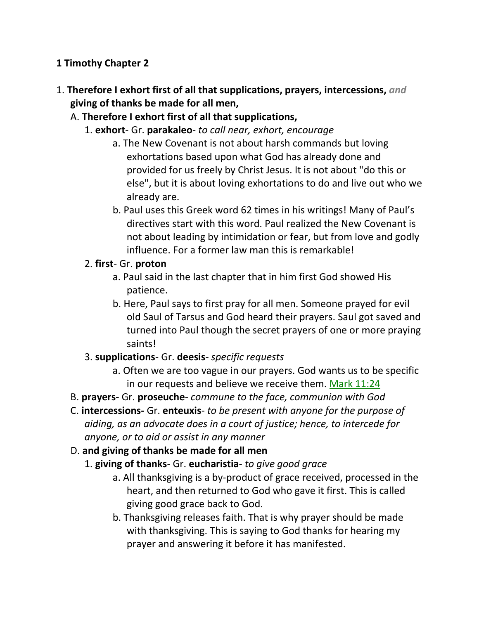## **1 Timothy Chapter 2**

- 1. **Therefore I exhort first of all that supplications, prayers, intercessions,** *and* **giving of thanks be made for all men,** 
	- A. **Therefore I exhort first of all that supplications,**
		- 1. **exhort** Gr. **parakaleo** *to call near, exhort, encourage*
			- a. The New Covenant is not about harsh commands but loving exhortations based upon what God has already done and provided for us freely by Christ Jesus. It is not about "do this or else", but it is about loving exhortations to do and live out who we already are.
			- b. Paul uses this Greek word 62 times in his writings! Many of Paul's directives start with this word. Paul realized the New Covenant is not about leading by intimidation or fear, but from love and godly influence. For a former law man this is remarkable!
		- 2. **first** Gr. **proton**
			- a. Paul said in the last chapter that in him first God showed His patience.
			- b. Here, Paul says to first pray for all men. Someone prayed for evil old Saul of Tarsus and God heard their prayers. Saul got saved and turned into Paul though the secret prayers of one or more praying saints!
		- 3. **supplications** Gr. **deesis** *specific requests*
			- a. Often we are too vague in our prayers. God wants us to be specific in our requests and believe we receive them. Mark 11:24
	- B. **prayers-** Gr. **proseuche** *commune to the face, communion with God*
	- C. **intercessions-** Gr. **enteuxis** *to be present with anyone for the purpose of aiding, as an advocate does in a court of justice; hence, to intercede for anyone, or to aid or assist in any manner*
	- D. **and giving of thanks be made for all men**
		- 1. **giving of thanks** Gr. **eucharistia** *to give good grace*
			- a. All thanksgiving is a by-product of grace received, processed in the heart, and then returned to God who gave it first. This is called giving good grace back to God.
			- b. Thanksgiving releases faith. That is why prayer should be made with thanksgiving. This is saying to God thanks for hearing my prayer and answering it before it has manifested.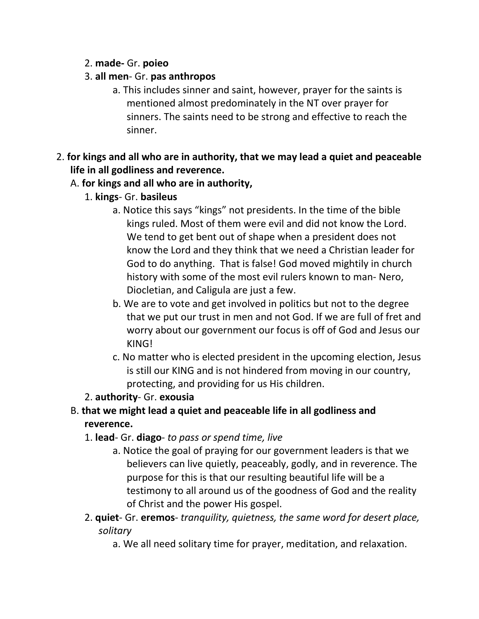### 2. **made-** Gr. **poieo**

#### 3. **all men**- Gr. **pas anthropos**

- a. This includes sinner and saint, however, prayer for the saints is mentioned almost predominately in the NT over prayer for sinners. The saints need to be strong and effective to reach the sinner.
- 2. **for kings and all who are in authority, that we may lead a quiet and peaceable life in all godliness and reverence.**

#### A. **for kings and all who are in authority,**

- 1. **kings** Gr. **basileus**
	- a. Notice this says "kings" not presidents. In the time of the bible kings ruled. Most of them were evil and did not know the Lord. We tend to get bent out of shape when a president does not know the Lord and they think that we need a Christian leader for God to do anything. That is false! God moved mightily in church history with some of the most evil rulers known to man- Nero, Diocletian, and Caligula are just a few.
	- b. We are to vote and get involved in politics but not to the degree that we put our trust in men and not God. If we are full of fret and worry about our government our focus is off of God and Jesus our KING!
	- c. No matter who is elected president in the upcoming election, Jesus is still our KING and is not hindered from moving in our country, protecting, and providing for us His children.

## 2. **authority**- Gr. **exousia**

# B. **that we might lead a quiet and peaceable life in all godliness and reverence.**

- 1. **lead** Gr. **diago** *to pass or spend time, live*
	- a. Notice the goal of praying for our government leaders is that we believers can live quietly, peaceably, godly, and in reverence. The purpose for this is that our resulting beautiful life will be a testimony to all around us of the goodness of God and the reality of Christ and the power His gospel.
- 2. **quiet** Gr. **eremos** *tranquility, quietness, the same word for desert place, solitary* 
	- a. We all need solitary time for prayer, meditation, and relaxation.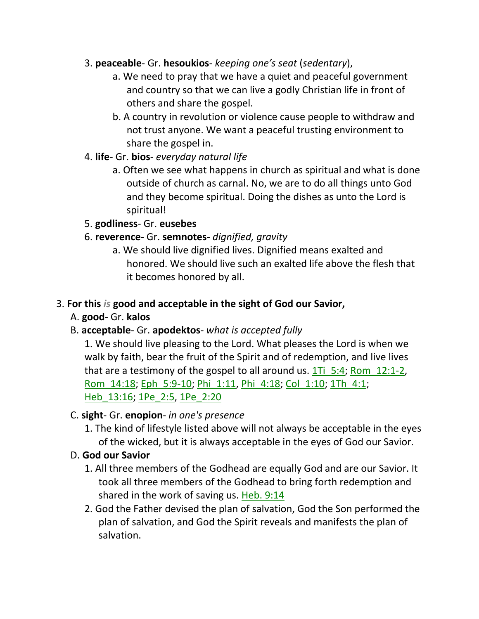## 3. **peaceable**- Gr. **hesoukios**- *keeping one's seat* (*sedentary*),

- a. We need to pray that we have a quiet and peaceful government and country so that we can live a godly Christian life in front of others and share the gospel.
- b. A country in revolution or violence cause people to withdraw and not trust anyone. We want a peaceful trusting environment to share the gospel in.
- 4. **life** Gr. **bios** *everyday natural life*
	- a. Often we see what happens in church as spiritual and what is done outside of church as carnal. No, we are to do all things unto God and they become spiritual. Doing the dishes as unto the Lord is spiritual!

# 5. **godliness**- Gr. **eusebes**

# 6. **reverence**- Gr. **semnotes**- *dignified, gravity*

a. We should live dignified lives. Dignified means exalted and honored. We should live such an exalted life above the flesh that it becomes honored by all.

## 3. **For this** *is* **good and acceptable in the sight of God our Savior,**

# A. **good**- Gr. **kalos**

# B. **acceptable**- Gr. **apodektos**- *what is accepted fully*

1. We should live pleasing to the Lord. What pleases the Lord is when we walk by faith, bear the fruit of the Spirit and of redemption, and live lives that are a testimony of the gospel to all around us. 1Ti\_5:4; Rom\_12:1-2, Rom\_14:18; Eph\_5:9-10; Phi\_1:11, Phi\_4:18; Col\_1:10; 1Th\_4:1; Heb\_13:16; 1Pe\_2:5, 1Pe\_2:20

## C. **sight**- Gr. **enopion**- *in one's presence*

1. The kind of lifestyle listed above will not always be acceptable in the eyes of the wicked, but it is always acceptable in the eyes of God our Savior.

# D. **God our Savior**

- 1. All three members of the Godhead are equally God and are our Savior. It took all three members of the Godhead to bring forth redemption and shared in the work of saving us. Heb. 9:14
- 2. God the Father devised the plan of salvation, God the Son performed the plan of salvation, and God the Spirit reveals and manifests the plan of salvation.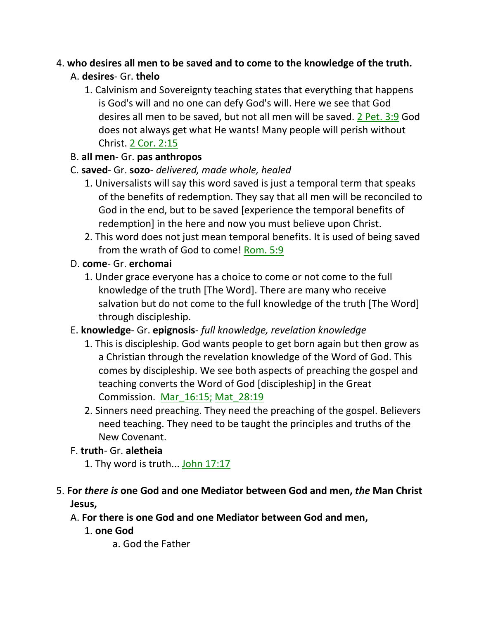# 4. **who desires all men to be saved and to come to the knowledge of the truth.**  A. **desires**- Gr. **thelo**

1. Calvinism and Sovereignty teaching states that everything that happens is God's will and no one can defy God's will. Here we see that God desires all men to be saved, but not all men will be saved. 2 Pet. 3:9 God does not always get what He wants! Many people will perish without Christ. 2 Cor. 2:15

# B. **all men**- Gr. **pas anthropos**

# C. **saved**- Gr. **sozo**- *delivered, made whole, healed*

- 1. Universalists will say this word saved is just a temporal term that speaks of the benefits of redemption. They say that all men will be reconciled to God in the end, but to be saved [experience the temporal benefits of redemption] in the here and now you must believe upon Christ.
- 2. This word does not just mean temporal benefits. It is used of being saved from the wrath of God to come! Rom. 5:9

# D. **come**- Gr. **erchomai**

1. Under grace everyone has a choice to come or not come to the full knowledge of the truth [The Word]. There are many who receive salvation but do not come to the full knowledge of the truth [The Word] through discipleship.

# E. **knowledge**- Gr. **epignosis**- *full knowledge, revelation knowledge*

- 1. This is discipleship. God wants people to get born again but then grow as a Christian through the revelation knowledge of the Word of God. This comes by discipleship. We see both aspects of preaching the gospel and teaching converts the Word of God [discipleship] in the Great Commission. Mar\_16:15; Mat\_28:19
- 2. Sinners need preaching. They need the preaching of the gospel. Believers need teaching. They need to be taught the principles and truths of the New Covenant.

# F. **truth**- Gr. **aletheia**

1. Thy word is truth... John 17:17

# 5. **For** *there is* **one God and one Mediator between God and men,** *the* **Man Christ Jesus,**

# A. **For there is one God and one Mediator between God and men,**

1. **one God**

a. God the Father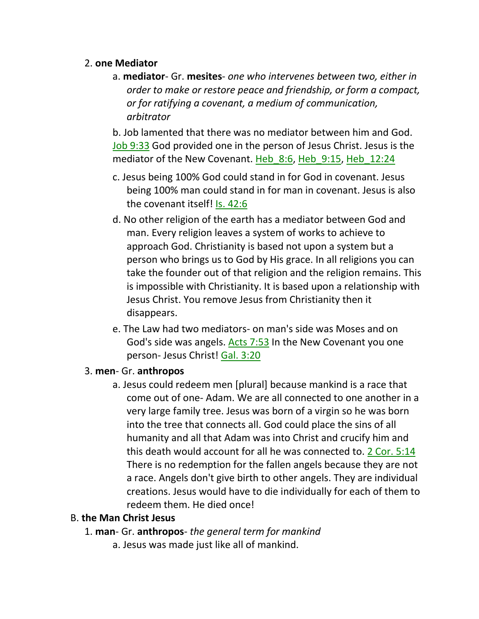#### 2. **one Mediator**

a. **mediator**- Gr. **mesites**- *one who intervenes between two, either in order to make or restore peace and friendship, or form a compact, or for ratifying a covenant, a medium of communication, arbitrator*

b. Job lamented that there was no mediator between him and God. Job 9:33 God provided one in the person of Jesus Christ. Jesus is the mediator of the New Covenant. Heb\_8:6, Heb\_9:15, Heb\_12:24

- c. Jesus being 100% God could stand in for God in covenant. Jesus being 100% man could stand in for man in covenant. Jesus is also the covenant itself! Is. 42:6
- d. No other religion of the earth has a mediator between God and man. Every religion leaves a system of works to achieve to approach God. Christianity is based not upon a system but a person who brings us to God by His grace. In all religions you can take the founder out of that religion and the religion remains. This is impossible with Christianity. It is based upon a relationship with Jesus Christ. You remove Jesus from Christianity then it disappears.
- e. The Law had two mediators- on man's side was Moses and on God's side was angels. Acts 7:53 In the New Covenant you one person- Jesus Christ! Gal. 3:20

#### 3. **men**- Gr. **anthropos**

a. Jesus could redeem men [plural] because mankind is a race that come out of one- Adam. We are all connected to one another in a very large family tree. Jesus was born of a virgin so he was born into the tree that connects all. God could place the sins of all humanity and all that Adam was into Christ and crucify him and this death would account for all he was connected to. 2 Cor. 5:14 There is no redemption for the fallen angels because they are not a race. Angels don't give birth to other angels. They are individual creations. Jesus would have to die individually for each of them to redeem them. He died once!

## B. **the Man Christ Jesus**

- 1. **man** Gr. **anthropos** *the general term for mankind*
	- a. Jesus was made just like all of mankind.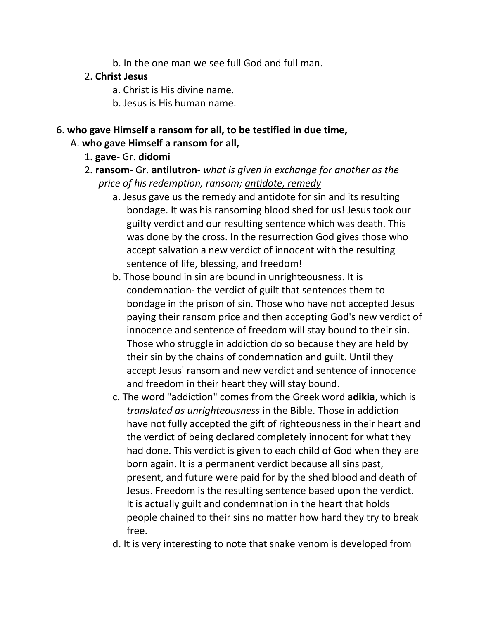b. In the one man we see full God and full man.

#### 2. **Christ Jesus**

- a. Christ is His divine name.
- b. Jesus is His human name.

#### 6. **who gave Himself a ransom for all, to be testified in due time,** A. **who gave Himself a ransom for all,**

### 1. **gave**- Gr. **didomi**

- 2. **ransom** Gr. **antilutron** *what is given in exchange for another as the price of his redemption, ransom; antidote, remedy*
	- a. Jesus gave us the remedy and antidote for sin and its resulting bondage. It was his ransoming blood shed for us! Jesus took our guilty verdict and our resulting sentence which was death. This was done by the cross. In the resurrection God gives those who accept salvation a new verdict of innocent with the resulting sentence of life, blessing, and freedom!
	- b. Those bound in sin are bound in unrighteousness. It is condemnation- the verdict of guilt that sentences them to bondage in the prison of sin. Those who have not accepted Jesus paying their ransom price and then accepting God's new verdict of innocence and sentence of freedom will stay bound to their sin. Those who struggle in addiction do so because they are held by their sin by the chains of condemnation and guilt. Until they accept Jesus' ransom and new verdict and sentence of innocence and freedom in their heart they will stay bound.
	- c. The word "addiction" comes from the Greek word **adikia**, which is *translated as unrighteousness* in the Bible. Those in addiction have not fully accepted the gift of righteousness in their heart and the verdict of being declared completely innocent for what they had done. This verdict is given to each child of God when they are born again. It is a permanent verdict because all sins past, present, and future were paid for by the shed blood and death of Jesus. Freedom is the resulting sentence based upon the verdict. It is actually guilt and condemnation in the heart that holds people chained to their sins no matter how hard they try to break free.
	- d. It is very interesting to note that snake venom is developed from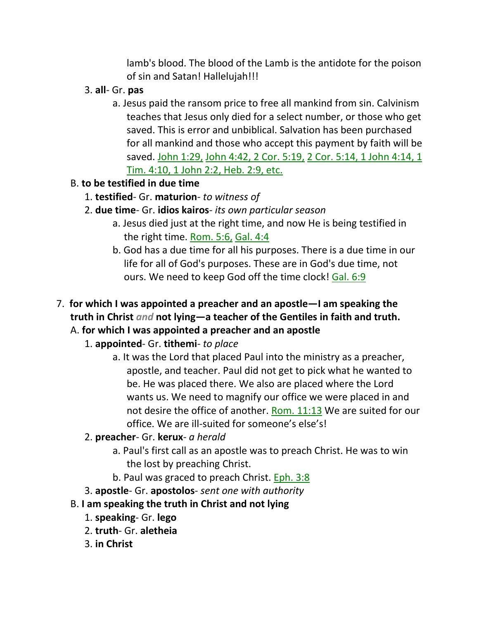lamb's blood. The blood of the Lamb is the antidote for the poison of sin and Satan! Hallelujah!!!

- 3. **all** Gr. **pas**
	- a. Jesus paid the ransom price to free all mankind from sin. Calvinism teaches that Jesus only died for a select number, or those who get saved. This is error and unbiblical. Salvation has been purchased for all mankind and those who accept this payment by faith will be saved. John 1:29, John 4:42, 2 Cor. 5:19, 2 Cor. 5:14, 1 John 4:14, 1 Tim. 4:10, 1 John 2:2, Heb. 2:9, etc.
- B. **to be testified in due time**
	- 1. **testified** Gr. **maturion** *to witness of*
	- 2. **due time** Gr. **idios kairos** *its own particular season*
		- a. Jesus died just at the right time, and now He is being testified in the right time. Rom. 5:6, Gal. 4:4
		- b. God has a due time for all his purposes. There is a due time in our life for all of God's purposes. These are in God's due time, not ours. We need to keep God off the time clock! Gal. 6:9
- 7. **for which I was appointed a preacher and an apostle—I am speaking the truth in Christ** *and* **not lying—a teacher of the Gentiles in faith and truth.**  A. **for which I was appointed a preacher and an apostle**
	- 1. **appointed** Gr. **tithemi** *to place*
		- a. It was the Lord that placed Paul into the ministry as a preacher, apostle, and teacher. Paul did not get to pick what he wanted to be. He was placed there. We also are placed where the Lord wants us. We need to magnify our office we were placed in and not desire the office of another. Rom. 11:13 We are suited for our office. We are ill-suited for someone's else's!
	- 2. **preacher** Gr. **kerux** *a herald*
		- a. Paul's first call as an apostle was to preach Christ. He was to win the lost by preaching Christ.
		- b. Paul was graced to preach Christ. Eph. 3:8
	- 3. **apostle** Gr. **apostolos** *sent one with authority*
	- B. **I am speaking the truth in Christ and not lying**
		- 1. **speaking** Gr. **lego**
		- 2. **truth** Gr. **aletheia**
		- 3. **in Christ**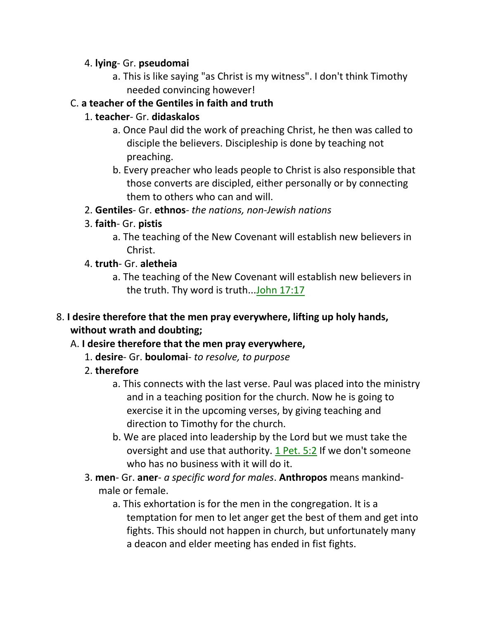#### 4. **lying**- Gr. **pseudomai**

a. This is like saying "as Christ is my witness". I don't think Timothy needed convincing however!

## C. **a teacher of the Gentiles in faith and truth**

## 1. **teacher**- Gr. **didaskalos**

- a. Once Paul did the work of preaching Christ, he then was called to disciple the believers. Discipleship is done by teaching not preaching.
- b. Every preacher who leads people to Christ is also responsible that those converts are discipled, either personally or by connecting them to others who can and will.
- 2. **Gentiles** Gr. **ethnos** *the nations, non-Jewish nations*
- 3. **faith** Gr. **pistis**
	- a. The teaching of the New Covenant will establish new believers in Christ.
- 4. **truth** Gr. **aletheia**
	- a. The teaching of the New Covenant will establish new believers in the truth. Thy word is truth...John 17:17

# 8. **I desire therefore that the men pray everywhere, lifting up holy hands, without wrath and doubting;**

# A. **I desire therefore that the men pray everywhere,**

- 1. **desire** Gr. **boulomai** *to resolve, to purpose*
- 2. **therefore**
	- a. This connects with the last verse. Paul was placed into the ministry and in a teaching position for the church. Now he is going to exercise it in the upcoming verses, by giving teaching and direction to Timothy for the church.
	- b. We are placed into leadership by the Lord but we must take the oversight and use that authority. 1 Pet. 5:2 If we don't someone who has no business with it will do it.
- 3. **men** Gr. **aner** *a specific word for males*. **Anthropos** means mankindmale or female.
	- a. This exhortation is for the men in the congregation. It is a temptation for men to let anger get the best of them and get into fights. This should not happen in church, but unfortunately many a deacon and elder meeting has ended in fist fights.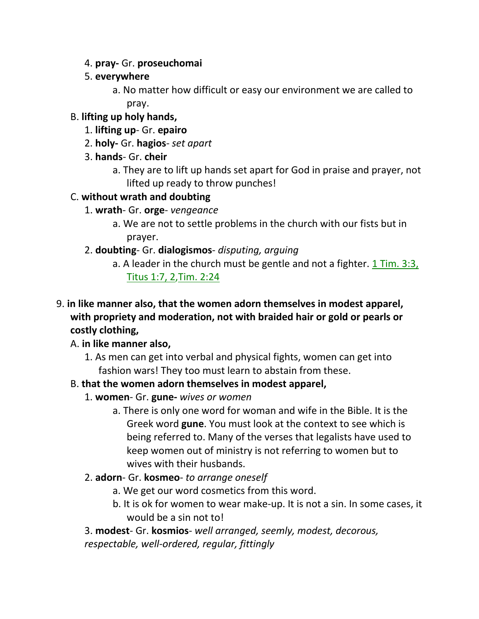- 4. **pray-** Gr. **proseuchomai**
- 5. **everywhere**
	- a. No matter how difficult or easy our environment we are called to pray.
- B. **lifting up holy hands,**
	- 1. **lifting up** Gr. **epairo**
	- 2. **holy-** Gr. **hagios** *set apart*
	- 3. **hands** Gr. **cheir**
		- a. They are to lift up hands set apart for God in praise and prayer, not lifted up ready to throw punches!

# C. **without wrath and doubting**

- 1. **wrath** Gr. **orge** *vengeance*
	- a. We are not to settle problems in the church with our fists but in prayer.
- 2. **doubting** Gr. **dialogismos** *disputing, arguing*
	- a. A leader in the church must be gentle and not a fighter. 1 Tim. 3:3, Titus 1:7, 2,Tim. 2:24
- 9. **in like manner also, that the women adorn themselves in modest apparel, with propriety and moderation, not with braided hair or gold or pearls or costly clothing,** 
	- A. **in like manner also,**
		- 1. As men can get into verbal and physical fights, women can get into fashion wars! They too must learn to abstain from these.

# B. **that the women adorn themselves in modest apparel,**

- 1. **women** Gr. **gune-** *wives or women*
	- a. There is only one word for woman and wife in the Bible. It is the Greek word **gune**. You must look at the context to see which is being referred to. Many of the verses that legalists have used to keep women out of ministry is not referring to women but to wives with their husbands.
- 2. **adorn** Gr. **kosmeo** *to arrange oneself*
	- a. We get our word cosmetics from this word.
	- b. It is ok for women to wear make-up. It is not a sin. In some cases, it would be a sin not to!
- 3. **modest** Gr. **kosmios** *well arranged, seemly, modest, decorous, respectable, well-ordered, regular, fittingly*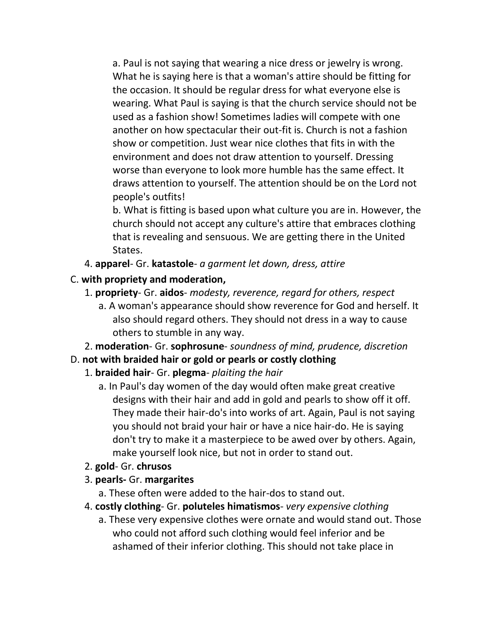a. Paul is not saying that wearing a nice dress or jewelry is wrong. What he is saying here is that a woman's attire should be fitting for the occasion. It should be regular dress for what everyone else is wearing. What Paul is saying is that the church service should not be used as a fashion show! Sometimes ladies will compete with one another on how spectacular their out-fit is. Church is not a fashion show or competition. Just wear nice clothes that fits in with the environment and does not draw attention to yourself. Dressing worse than everyone to look more humble has the same effect. It draws attention to yourself. The attention should be on the Lord not people's outfits!

b. What is fitting is based upon what culture you are in. However, the church should not accept any culture's attire that embraces clothing that is revealing and sensuous. We are getting there in the United States.

- 4. **apparel** Gr. **katastole** *a garment let down, dress, attire*
- C. **with propriety and moderation,**
	- 1. **propriety** Gr. **aidos** *modesty, reverence, regard for others, respect*
		- a. A woman's appearance should show reverence for God and herself. It also should regard others. They should not dress in a way to cause others to stumble in any way.
	- 2. **moderation** Gr. **sophrosune** *soundness of mind, prudence, discretion*
- D. **not with braided hair or gold or pearls or costly clothing**
	- 1. **braided hair** Gr. **plegma** *plaiting the hair*
		- a. In Paul's day women of the day would often make great creative designs with their hair and add in gold and pearls to show off it off. They made their hair-do's into works of art. Again, Paul is not saying you should not braid your hair or have a nice hair-do. He is saying don't try to make it a masterpiece to be awed over by others. Again, make yourself look nice, but not in order to stand out.
	- 2. **gold** Gr. **chrusos**
	- 3. **pearls-** Gr. **margarites**
		- a. These often were added to the hair-dos to stand out.
	- 4. **costly clothing** Gr. **poluteles himatismos** *very expensive clothing*
		- a. These very expensive clothes were ornate and would stand out. Those who could not afford such clothing would feel inferior and be ashamed of their inferior clothing. This should not take place in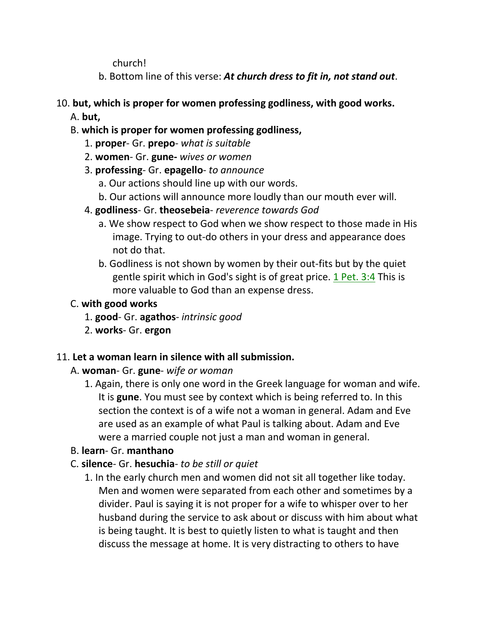church!

b. Bottom line of this verse: *At church dress to fit in, not stand out*.

# 10. **but, which is proper for women professing godliness, with good works.**

A. **but,**

# B. **which is proper for women professing godliness,**

- 1. **proper** Gr. **prepo** *what is suitable*
- 2. **women** Gr. **gune-** *wives or women*
- 3. **professing** Gr. **epagello** *to announce*
	- a. Our actions should line up with our words.
	- b. Our actions will announce more loudly than our mouth ever will.

# 4. **godliness**- Gr. **theosebeia**- *reverence towards God*

- a. We show respect to God when we show respect to those made in His image. Trying to out-do others in your dress and appearance does not do that.
- b. Godliness is not shown by women by their out-fits but by the quiet gentle spirit which in God's sight is of great price. 1 Pet. 3:4 This is more valuable to God than an expense dress.

# C. **with good works**

- 1. **good** Gr. **agathos** *intrinsic good*
- 2. **works** Gr. **ergon**

## 11. **Let a woman learn in silence with all submission.**

# A. **woman**- Gr. **gune**- *wife or woman*

1. Again, there is only one word in the Greek language for woman and wife. It is **gune**. You must see by context which is being referred to. In this section the context is of a wife not a woman in general. Adam and Eve are used as an example of what Paul is talking about. Adam and Eve were a married couple not just a man and woman in general.

# B. **learn**- Gr. **manthano**

- C. **silence** Gr. **hesuchia** *to be still or quiet*
	- 1. In the early church men and women did not sit all together like today. Men and women were separated from each other and sometimes by a divider. Paul is saying it is not proper for a wife to whisper over to her husband during the service to ask about or discuss with him about what is being taught. It is best to quietly listen to what is taught and then discuss the message at home. It is very distracting to others to have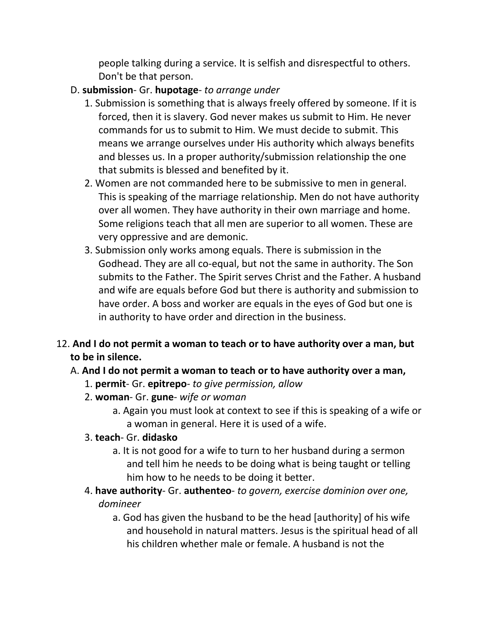people talking during a service. It is selfish and disrespectful to others. Don't be that person.

#### D. **submission**- Gr. **hupotage**- *to arrange under*

- 1. Submission is something that is always freely offered by someone. If it is forced, then it is slavery. God never makes us submit to Him. He never commands for us to submit to Him. We must decide to submit. This means we arrange ourselves under His authority which always benefits and blesses us. In a proper authority/submission relationship the one that submits is blessed and benefited by it.
- 2. Women are not commanded here to be submissive to men in general. This is speaking of the marriage relationship. Men do not have authority over all women. They have authority in their own marriage and home. Some religions teach that all men are superior to all women. These are very oppressive and are demonic.
- 3. Submission only works among equals. There is submission in the Godhead. They are all co-equal, but not the same in authority. The Son submits to the Father. The Spirit serves Christ and the Father. A husband and wife are equals before God but there is authority and submission to have order. A boss and worker are equals in the eyes of God but one is in authority to have order and direction in the business.
- 12. **And I do not permit a woman to teach or to have authority over a man, but to be in silence.**

## A. **And I do not permit a woman to teach or to have authority over a man,**

- 1. **permit** Gr. **epitrepo** *to give permission, allow*
- 2. **woman** Gr. **gune** *wife or woman*
	- a. Again you must look at context to see if this is speaking of a wife or a woman in general. Here it is used of a wife.
- 3. **teach** Gr. **didasko**
	- a. It is not good for a wife to turn to her husband during a sermon and tell him he needs to be doing what is being taught or telling him how to he needs to be doing it better.
- 4. **have authority** Gr. **authenteo** *to govern, exercise dominion over one, domineer*
	- a. God has given the husband to be the head [authority] of his wife and household in natural matters. Jesus is the spiritual head of all his children whether male or female. A husband is not the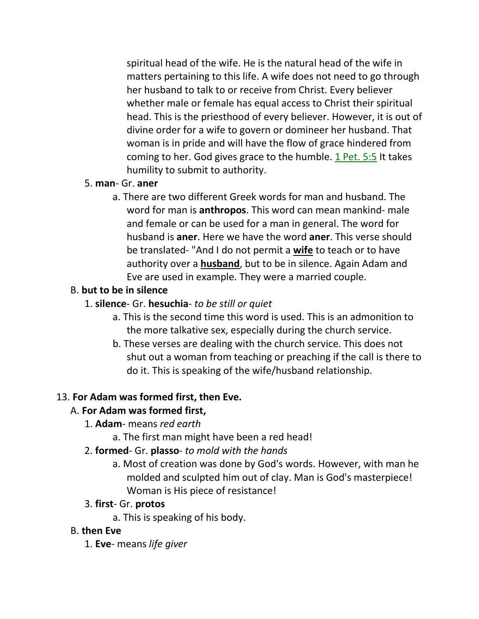spiritual head of the wife. He is the natural head of the wife in matters pertaining to this life. A wife does not need to go through her husband to talk to or receive from Christ. Every believer whether male or female has equal access to Christ their spiritual head. This is the priesthood of every believer. However, it is out of divine order for a wife to govern or domineer her husband. That woman is in pride and will have the flow of grace hindered from coming to her. God gives grace to the humble. 1 Pet. 5:5 It takes humility to submit to authority.

#### 5. **man**- Gr. **aner**

a. There are two different Greek words for man and husband. The word for man is **anthropos**. This word can mean mankind- male and female or can be used for a man in general. The word for husband is **aner**. Here we have the word **aner**. This verse should be translated- "And I do not permit a **wife** to teach or to have authority over a **husband**, but to be in silence. Again Adam and Eve are used in example. They were a married couple.

## B. **but to be in silence**

### 1. **silence**- Gr. **hesuchia**- *to be still or quiet*

- a. This is the second time this word is used. This is an admonition to the more talkative sex, especially during the church service.
- b. These verses are dealing with the church service. This does not shut out a woman from teaching or preaching if the call is there to do it. This is speaking of the wife/husband relationship.

## 13. **For Adam was formed first, then Eve.**

## A. **For Adam was formed first,**

- 1. **Adam** means *red earth*
	- a. The first man might have been a red head!
- 2. **formed** Gr. **plasso** *to mold with the hands*
	- a. Most of creation was done by God's words. However, with man he molded and sculpted him out of clay. Man is God's masterpiece! Woman is His piece of resistance!

## 3. **first**- Gr. **protos**

a. This is speaking of his body.

## B. **then Eve**

1. **Eve**- means *life giver*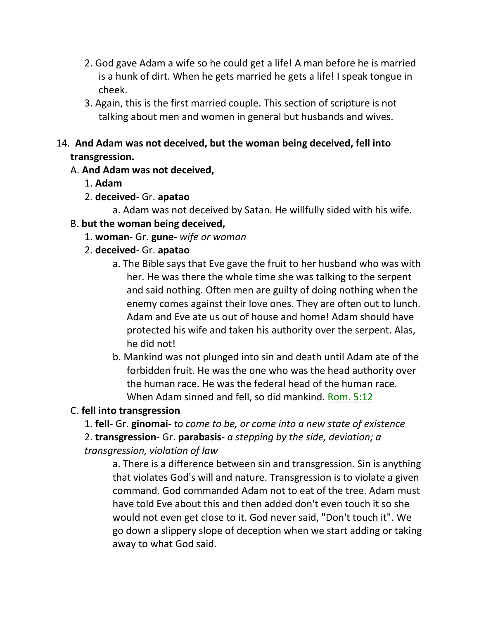- 2. God gave Adam a wife so he could get a life! A man before he is married is a hunk of dirt. When he gets married he gets a life! I speak tongue in cheek.
- 3. Again, this is the first married couple. This section of scripture is not talking about men and women in general but husbands and wives.

## 14. **And Adam was not deceived, but the woman being deceived, fell into transgression.**

## A. **And Adam was not deceived,**

- 1. **Adam**
- 2. **deceived** Gr. **apatao**

a. Adam was not deceived by Satan. He willfully sided with his wife.

# B. **but the woman being deceived,**

1. **woman**- Gr. **gune**- *wife or woman*

# 2. **deceived**- Gr. **apatao**

- a. The Bible says that Eve gave the fruit to her husband who was with her. He was there the whole time she was talking to the serpent and said nothing. Often men are guilty of doing nothing when the enemy comes against their love ones. They are often out to lunch. Adam and Eve ate us out of house and home! Adam should have protected his wife and taken his authority over the serpent. Alas, he did not!
- b. Mankind was not plunged into sin and death until Adam ate of the forbidden fruit. He was the one who was the head authority over the human race. He was the federal head of the human race. When Adam sinned and fell, so did mankind. Rom. 5:12

# C. **fell into transgression**

1. **fell**- Gr. **ginomai**- *to come to be, or come into a new state of existence*

2. **transgression**- Gr. **parabasis**- *a stepping by the side, deviation; a* 

## *transgression, violation of law*

a. There is a difference between sin and transgression. Sin is anything that violates God's will and nature. Transgression is to violate a given command. God commanded Adam not to eat of the tree. Adam must have told Eve about this and then added don't even touch it so she would not even get close to it. God never said, "Don't touch it". We go down a slippery slope of deception when we start adding or taking away to what God said.